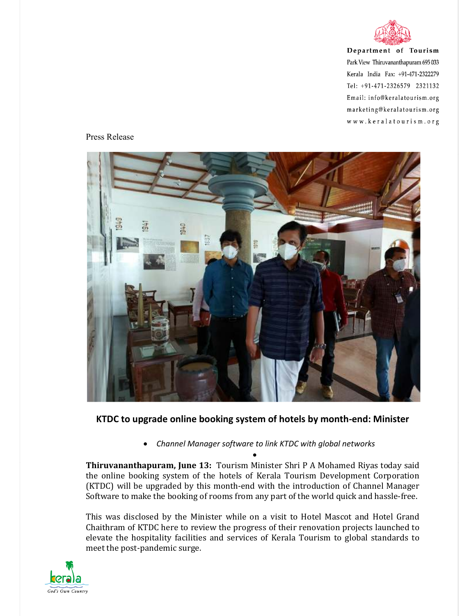

Department of Tourism Park View Thiruvananthapuram 695 033 Kerala India Fax: +91-471-2322279 Tel: +91-471-2326579 2321132 Email: info@keralatourism.org marketing@keralatourism.org www.keralatourism.org

## Press Release



## **KTDC to upgrade online booking system of hotels by month-end: Minister**

 *Channel Manager software to link KTDC with global networks*   $\bullet$ 

**Thiruvananthapuram, June 13:** Tourism Minister Shri P A Mohamed Riyas today said the online booking system of the hotels of Kerala Tourism Development Corporation (KTDC) will be upgraded by this month-end with the introduction of Channel Manager Software to make the booking of rooms from any part of the world quick and hassle-free.

This was disclosed by the Minister while on a visit to Hotel Mascot and Hotel Grand Chaithram of KTDC here to review the progress of their renovation projects launched to elevate the hospitality facilities and services of Kerala Tourism to global standards to meet the post-pandemic surge.